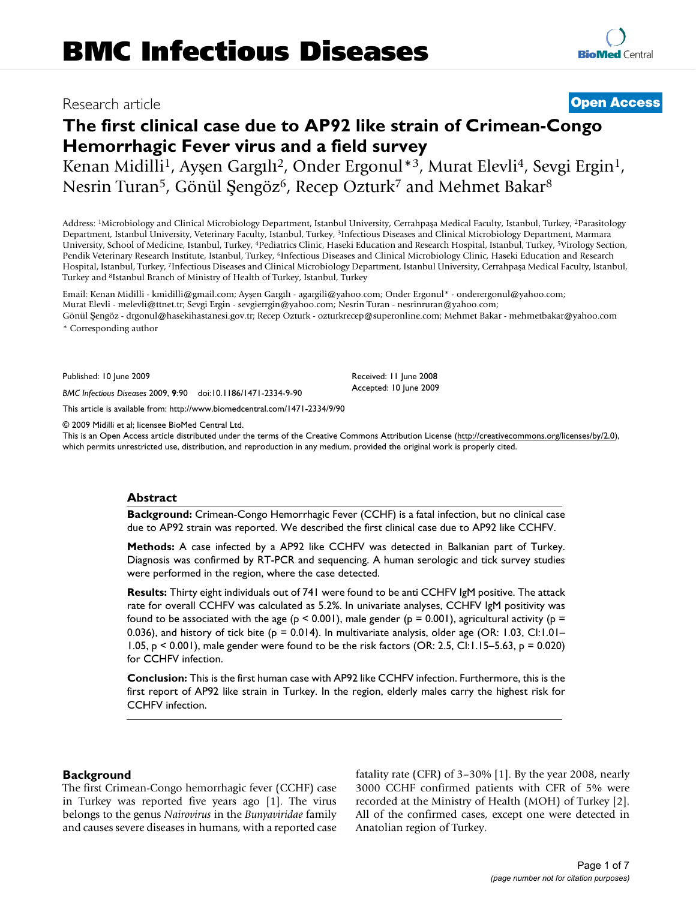# Research article **[Open Access](http://www.biomedcentral.com/info/about/charter/)**

# **The first clinical case due to AP92 like strain of Crimean-Congo Hemorrhagic Fever virus and a field survey**

Kenan Midilli<sup>1</sup>, Ayşen Gargılı<sup>2</sup>, Onder Ergonul\*<sup>3</sup>, Murat Elevli<sup>4</sup>, Sevgi Ergin<sup>1</sup>, Nesrin Turan<sup>5</sup>, Gönül Şengöz<sup>6</sup>, Recep Ozturk<sup>7</sup> and Mehmet Bakar<sup>8</sup>

Address: <sup>1</sup>Microbiology and Clinical Microbiology Department, Istanbul University, Cerrahpaşa Medical Faculty, Istanbul, Turkey, <sup>2</sup>Parasitology Department, Istanbul University, Veterinary Faculty, Istanbul, Turkey, 3Infectious Diseases and Clinical Microbiology Department, Marmara University, School of Medicine, Istanbul, Turkey, 4Pediatrics Clinic, Haseki Education and Research Hospital, Istanbul, Turkey, 5Virology Section, Pendik Veterinary Research Institute, Istanbul, Turkey, 6Infectious Diseases and Clinical Microbiology Clinic, Haseki Education and Research Hospital, Istanbul, Turkey, 7Infectious Diseases and Clinical Microbiology Department, Istanbul University, Cerrahpaşa Medical Faculty, Istanbul, Turkey and 8Istanbul Branch of Ministry of Health of Turkey, Istanbul, Turkey

Email: Kenan Midilli - kmidilli@gmail.com; Ayşen Gargılı - agargili@yahoo.com; Onder Ergonul\* - onderergonul@yahoo.com; Murat Elevli - melevli@ttnet.tr; Sevgi Ergin - sevgierrgin@yahoo.com; Nesrin Turan - nesrinruran@yahoo.com; Gönül Şengöz - drgonul@hasekihastanesi.gov.tr; Recep Ozturk - ozturkrecep@superonline.com; Mehmet Bakar - mehmetbakar@yahoo.com

\* Corresponding author

Published: 10 June 2009

*BMC Infectious Diseases* 2009, **9**:90 doi:10.1186/1471-2334-9-90

[This article is available from: http://www.biomedcentral.com/1471-2334/9/90](http://www.biomedcentral.com/1471-2334/9/90)

© 2009 Midilli et al; licensee BioMed Central Ltd.

This is an Open Access article distributed under the terms of the Creative Commons Attribution License [\(http://creativecommons.org/licenses/by/2.0\)](http://creativecommons.org/licenses/by/2.0), which permits unrestricted use, distribution, and reproduction in any medium, provided the original work is properly cited.

Received: 11 June 2008 Accepted: 10 June 2009

### **Abstract**

**Background:** Crimean-Congo Hemorrhagic Fever (CCHF) is a fatal infection, but no clinical case due to AP92 strain was reported. We described the first clinical case due to AP92 like CCHFV.

**Methods:** A case infected by a AP92 like CCHFV was detected in Balkanian part of Turkey. Diagnosis was confirmed by RT-PCR and sequencing. A human serologic and tick survey studies were performed in the region, where the case detected.

**Results:** Thirty eight individuals out of 741 were found to be anti CCHFV IgM positive. The attack rate for overall CCHFV was calculated as 5.2%. In univariate analyses, CCHFV IgM positivity was found to be associated with the age ( $p < 0.001$ ), male gender ( $p = 0.001$ ), agricultural activity ( $p =$ 0.036), and history of tick bite ( $p = 0.014$ ). In multivariate analysis, older age (OR: 1.03, CI:1.01– 1.05, p < 0.001), male gender were found to be the risk factors (OR: 2.5, CI:1.15–5.63, p = 0.020) for CCHFV infection.

**Conclusion:** This is the first human case with AP92 like CCHFV infection. Furthermore, this is the first report of AP92 like strain in Turkey. In the region, elderly males carry the highest risk for CCHFV infection.

### **Background**

The first Crimean-Congo hemorrhagic fever (CCHF) case in Turkey was reported five years ago [1]. The virus belongs to the genus *Nairovirus* in the *Bunyaviridae* family and causes severe diseases in humans, with a reported case fatality rate (CFR) of 3–30% [1]. By the year 2008, nearly 3000 CCHF confirmed patients with CFR of 5% were recorded at the Ministry of Health (MOH) of Turkey [2]. All of the confirmed cases, except one were detected in Anatolian region of Turkey.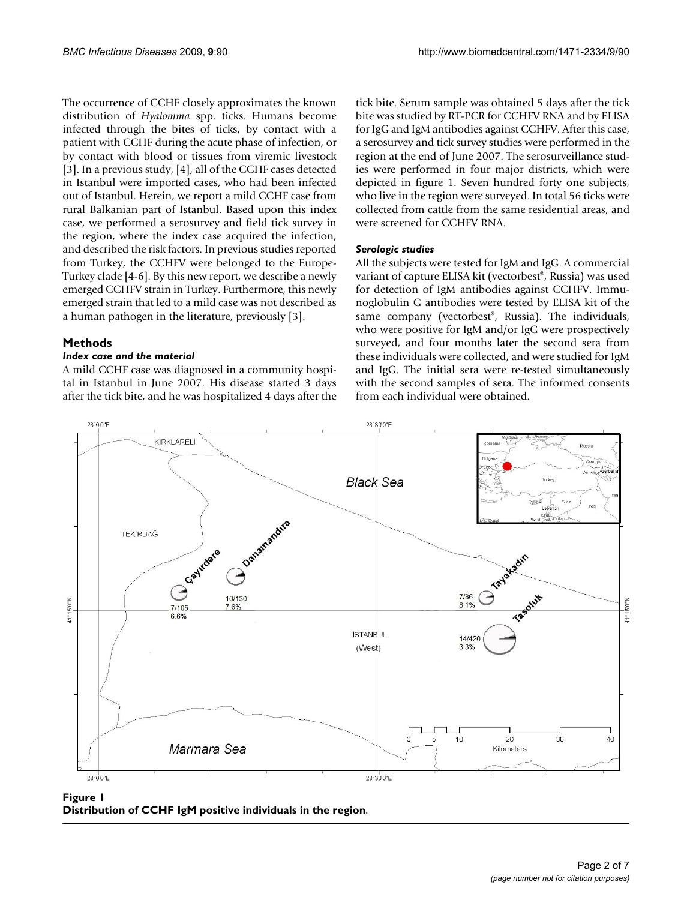The occurrence of CCHF closely approximates the known distribution of *Hyalomma* spp. ticks. Humans become infected through the bites of ticks, by contact with a patient with CCHF during the acute phase of infection, or by contact with blood or tissues from viremic livestock [3]. In a previous study, [4], all of the CCHF cases detected in Istanbul were imported cases, who had been infected out of Istanbul. Herein, we report a mild CCHF case from rural Balkanian part of Istanbul. Based upon this index case, we performed a serosurvey and field tick survey in the region, where the index case acquired the infection, and described the risk factors. In previous studies reported from Turkey, the CCHFV were belonged to the Europe-Turkey clade [4-6]. By this new report, we describe a newly emerged CCHFV strain in Turkey. Furthermore, this newly emerged strain that led to a mild case was not described as a human pathogen in the literature, previously [3].

# **Methods**

# *Index case and the material*

A mild CCHF case was diagnosed in a community hospital in Istanbul in June 2007. His disease started 3 days after the tick bite, and he was hospitalized 4 days after the tick bite. Serum sample was obtained 5 days after the tick bite was studied by RT-PCR for CCHFV RNA and by ELISA for IgG and IgM antibodies against CCHFV. After this case, a serosurvey and tick survey studies were performed in the region at the end of June 2007. The serosurveillance studies were performed in four major districts, which were depicted in figure 1. Seven hundred forty one subjects, who live in the region were surveyed. In total 56 ticks were collected from cattle from the same residential areas, and were screened for CCHFV RNA.

# *Serologic studies*

All the subjects were tested for IgM and IgG. A commercial variant of capture ELISA kit (vectorbest®, Russia) was used for detection of IgM antibodies against CCHFV. Immunoglobulin G antibodies were tested by ELISA kit of the same company (vectorbest®, Russia). The individuals, who were positive for IgM and/or IgG were prospectively surveyed, and four months later the second sera from these individuals were collected, and were studied for IgM and IgG. The initial sera were re-tested simultaneously with the second samples of sera. The informed consents from each individual were obtained.



# Figure 1 **Distribution of CCHF IgM positive individuals in the region**.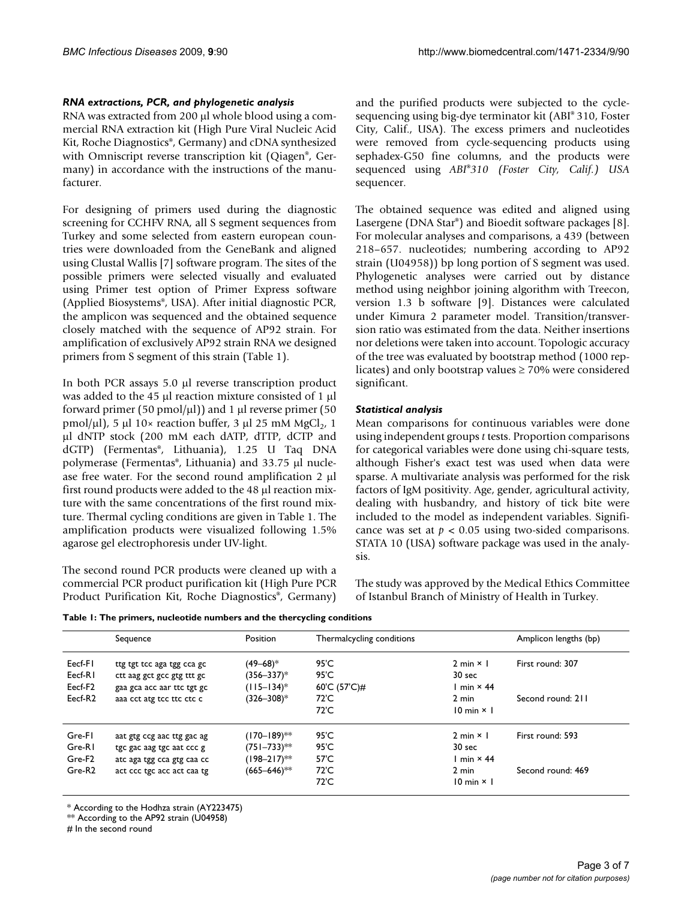# *RNA extractions, PCR, and phylogenetic analysis*

RNA was extracted from 200 μl whole blood using a commercial RNA extraction kit (High Pure Viral Nucleic Acid Kit, Roche Diagnostics®, Germany) and cDNA synthesized with Omniscript reverse transcription kit (Qiagen®, Germany) in accordance with the instructions of the manufacturer.

For designing of primers used during the diagnostic screening for CCHFV RNA, all S segment sequences from Turkey and some selected from eastern european countries were downloaded from the GeneBank and aligned using Clustal Wallis [7] software program. The sites of the possible primers were selected visually and evaluated using Primer test option of Primer Express software (Applied Biosystems®, USA). After initial diagnostic PCR, the amplicon was sequenced and the obtained sequence closely matched with the sequence of AP92 strain. For amplification of exclusively AP92 strain RNA we designed primers from S segment of this strain (Table 1).

In both PCR assays 5.0 μl reverse transcription product was added to the 45 μl reaction mixture consisted of 1 μl forward primer (50 pmol/ $\mu$ l)) and 1  $\mu$ l reverse primer (50 pmol/ $\mu$ l), 5  $\mu$ l 10× reaction buffer, 3  $\mu$ l 25 mM MgCl<sub>2</sub>, 1 μl dNTP stock (200 mM each dATP, dTTP, dCTP and dGTP) (Fermentas®, Lithuania), 1.25 U Taq DNA polymerase (Fermentas®, Lithuania) and 33.75 μl nuclease free water. For the second round amplification 2 μl first round products were added to the 48 μl reaction mixture with the same concentrations of the first round mixture. Thermal cycling conditions are given in Table 1. The amplification products were visualized following 1.5% agarose gel electrophoresis under UV-light.

The second round PCR products were cleaned up with a commercial PCR product purification kit (High Pure PCR Product Purification Kit, Roche Diagnostics®, Germany) and the purified products were subjected to the cyclesequencing using big-dye terminator kit (ABI® 310, Foster City, Calif., USA). The excess primers and nucleotides were removed from cycle-sequencing products using sephadex-G50 fine columns, and the products were sequenced using *ABI*®*310 (Foster City, Calif.) USA* sequencer.

The obtained sequence was edited and aligned using Lasergene (DNA Star®) and Bioedit software packages [8]. For molecular analyses and comparisons, a 439 (between 218–657. nucleotides; numbering according to AP92 strain (U04958)) bp long portion of S segment was used. Phylogenetic analyses were carried out by distance method using neighbor joining algorithm with Treecon, version 1.3 b software [9]. Distances were calculated under Kimura 2 parameter model. Transition/transversion ratio was estimated from the data. Neither insertions nor deletions were taken into account. Topologic accuracy of the tree was evaluated by bootstrap method (1000 replicates) and only bootstrap values  $\geq 70\%$  were considered significant.

# *Statistical analysis*

Mean comparisons for continuous variables were done using independent groups *t* tests. Proportion comparisons for categorical variables were done using chi-square tests, although Fisher's exact test was used when data were sparse. A multivariate analysis was performed for the risk factors of IgM positivity. Age, gender, agricultural activity, dealing with husbandry, and history of tick bite were included to the model as independent variables. Significance was set at  $p < 0.05$  using two-sided comparisons. STATA 10 (USA) software package was used in the analysis.

The study was approved by the Medical Ethics Committee of Istanbul Branch of Ministry of Health in Turkey.

**Table 1: The primers, nucleotide numbers and the thercycling conditions**

|                     | Sequence                   | Position         | Thermalcycling conditions |                           | Amplicon lengths (bp) |
|---------------------|----------------------------|------------------|---------------------------|---------------------------|-----------------------|
| Eecf-F1             | ttg tgt tcc aga tgg cca gc | $(49 - 68)^*$    | 95'C                      | $2 min \times 1$          | First round: 307      |
| Eecf-RI             | ctt aag get gee gtg ttt ge | $(356 - 337)^*$  | 95'C                      | 30 sec                    |                       |
| Eecf-F <sub>2</sub> | gaa gca acc aar ttc tgt gc | $(115 - 134)^*$  | 60'C (57'C)#              | I min $\times$ 44         |                       |
| Eecf-R2             | aaa cct atg tcc ttc ctc c  | $(326 - 308)^*$  | $72^{\circ}$ C            | $2 \text{ min}$           | Second round: 211     |
|                     |                            |                  | $72^{\circ}$ C            | $10 \text{ min} \times 1$ |                       |
| Gre-FI              | aat gtg ccg aac ttg gac ag | (170–189)**      | 95'C                      | $2 min \times 1$          | First round: 593      |
| Gre-RI              | tgc gac aag tgc aat ccc g  | (751–733)**      | 95'C                      | 30 sec                    |                       |
| Gre-F <sub>2</sub>  | atc aga tgg cca gtg caa cc | (198–217)**      | 57'C                      | I min $\times$ 44         |                       |
| Gre-R <sub>2</sub>  | act ccc tgc acc act caa tg | $(665 - 646)$ ** | $72^{\circ}$ C            | 2 min                     | Second round: 469     |
|                     |                            |                  | 72'C                      | $10 \text{ min} \times 1$ |                       |

\* According to the Hodhza strain (AY223475)

\*\* According to the AP92 strain (U04958)

# In the second round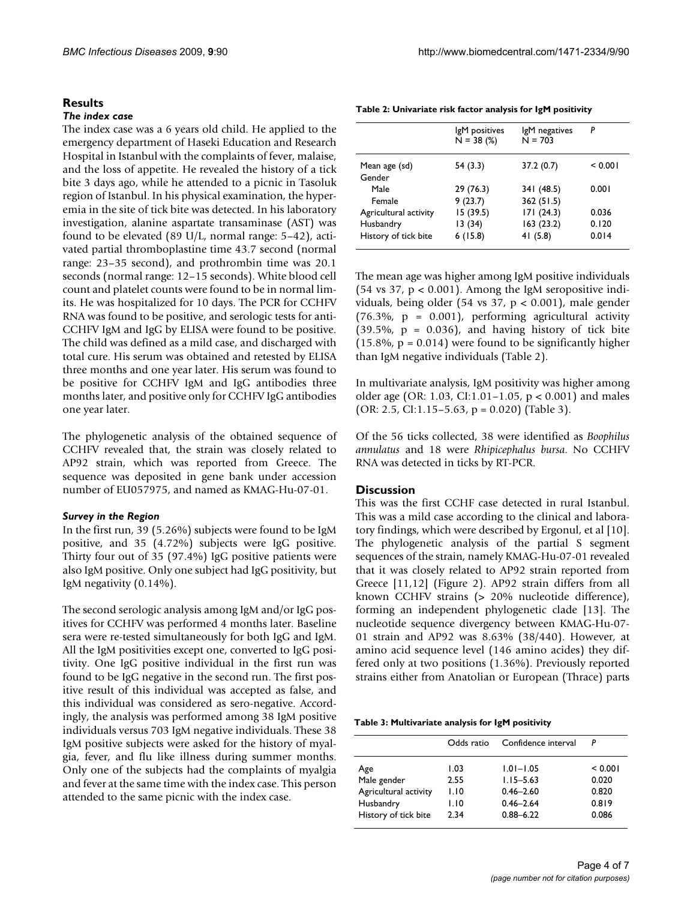#### **Results**

#### *The index case*

The index case was a 6 years old child. He applied to the emergency department of Haseki Education and Research Hospital in Istanbul with the complaints of fever, malaise, and the loss of appetite. He revealed the history of a tick bite 3 days ago, while he attended to a picnic in Tasoluk region of Istanbul. In his physical examination, the hyperemia in the site of tick bite was detected. In his laboratory investigation, alanine aspartate transaminase (AST) was found to be elevated (89 U/L, normal range: 5–42), activated partial thromboplastine time 43.7 second (normal range: 23–35 second), and prothrombin time was 20.1 seconds (normal range: 12–15 seconds). White blood cell count and platelet counts were found to be in normal limits. He was hospitalized for 10 days. The PCR for CCHFV RNA was found to be positive, and serologic tests for anti-CCHFV IgM and IgG by ELISA were found to be positive. The child was defined as a mild case, and discharged with total cure. His serum was obtained and retested by ELISA three months and one year later. His serum was found to be positive for CCHFV IgM and IgG antibodies three months later, and positive only for CCHFV IgG antibodies one year later.

The phylogenetic analysis of the obtained sequence of CCHFV revealed that, the strain was closely related to AP92 strain, which was reported from Greece. The sequence was deposited in gene bank under accession number of EU057975, and named as KMAG-Hu-07-01.

#### *Survey in the Region*

In the first run, 39 (5.26%) subjects were found to be IgM positive, and 35 (4.72%) subjects were IgG positive. Thirty four out of 35 (97.4%) IgG positive patients were also IgM positive. Only one subject had IgG positivity, but IgM negativity (0.14%).

The second serologic analysis among IgM and/or IgG positives for CCHFV was performed 4 months later. Baseline sera were re-tested simultaneously for both IgG and IgM. All the IgM positivities except one, converted to IgG positivity. One IgG positive individual in the first run was found to be IgG negative in the second run. The first positive result of this individual was accepted as false, and this individual was considered as sero-negative. Accordingly, the analysis was performed among 38 IgM positive individuals versus 703 IgM negative individuals. These 38 IgM positive subjects were asked for the history of myalgia, fever, and flu like illness during summer months. Only one of the subjects had the complaints of myalgia and fever at the same time with the index case. This person attended to the same picnic with the index case.

| Table 2: Univariate risk factor analysis for IgM positivity |  |  |
|-------------------------------------------------------------|--|--|
|-------------------------------------------------------------|--|--|

|                         | IgM positives<br>$N = 38$ (%) | lgM negatives<br>$N = 703$ | P       |
|-------------------------|-------------------------------|----------------------------|---------|
| Mean age (sd)<br>Gender | 54 (3.3)                      | 37.2(0.7)                  | < 0.001 |
| Male                    | 29 (76.3)                     | 341 (48.5)                 | 0.001   |
| Female                  | 9(23.7)                       | 362(51.5)                  |         |
| Agricultural activity   | 15(39.5)                      | 171(24.3)                  | 0.036   |
| Husbandry               | 13(34)                        | 163(23.2)                  | 0.120   |
| History of tick bite    | 6(15.8)                       | 41(5.8)                    | 0.014   |
|                         |                               |                            |         |

The mean age was higher among IgM positive individuals (54 vs 37,  $p < 0.001$ ). Among the IgM seropositive individuals, being older (54 vs 37, p < 0.001), male gender  $(76.3\%, p = 0.001)$ , performing agricultural activity  $(39.5\%, p = 0.036)$ , and having history of tick bite  $(15.8\%, p = 0.014)$  were found to be significantly higher than IgM negative individuals (Table 2).

In multivariate analysis, IgM positivity was higher among older age (OR: 1.03, CI:1.01–1.05, p < 0.001) and males (OR: 2.5, CI:1.15–5.63,  $p = 0.020$ ) (Table 3).

Of the 56 ticks collected, 38 were identified as *Boophilus annulatus* and 18 were *Rhipicephalus bursa*. No CCHFV RNA was detected in ticks by RT-PCR.

### **Discussion**

This was the first CCHF case detected in rural Istanbul. This was a mild case according to the clinical and laboratory findings, which were described by Ergonul, et al [10]. The phylogenetic analysis of the partial S segment sequences of the strain, namely KMAG-Hu-07-01 revealed that it was closely related to AP92 strain reported from Greece [11,12] (Figure 2). AP92 strain differs from all known CCHFV strains (> 20% nucleotide difference), forming an independent phylogenetic clade [13]. The nucleotide sequence divergency between KMAG-Hu-07- 01 strain and AP92 was 8.63% (38/440). However, at amino acid sequence level (146 amino acides) they differed only at two positions (1.36%). Previously reported strains either from Anatolian or European (Thrace) parts

|  | Table 3: Multivariate analysis for IgM positivity |  |  |  |
|--|---------------------------------------------------|--|--|--|
|--|---------------------------------------------------|--|--|--|

|                       | Odds ratio | Confidence interval | P       |
|-----------------------|------------|---------------------|---------|
| Age                   | 1.03       | $1.01 - 1.05$       | < 0.001 |
| Male gender           | 2.55       | $1.15 - 5.63$       | 0.020   |
| Agricultural activity | 1.10       | $0.46 - 2.60$       | 0.820   |
| Husbandry             | 1.10       | $0.46 - 2.64$       | 0.819   |
| History of tick bite  | 2.34       | $0.88 - 6.22$       | 0.086   |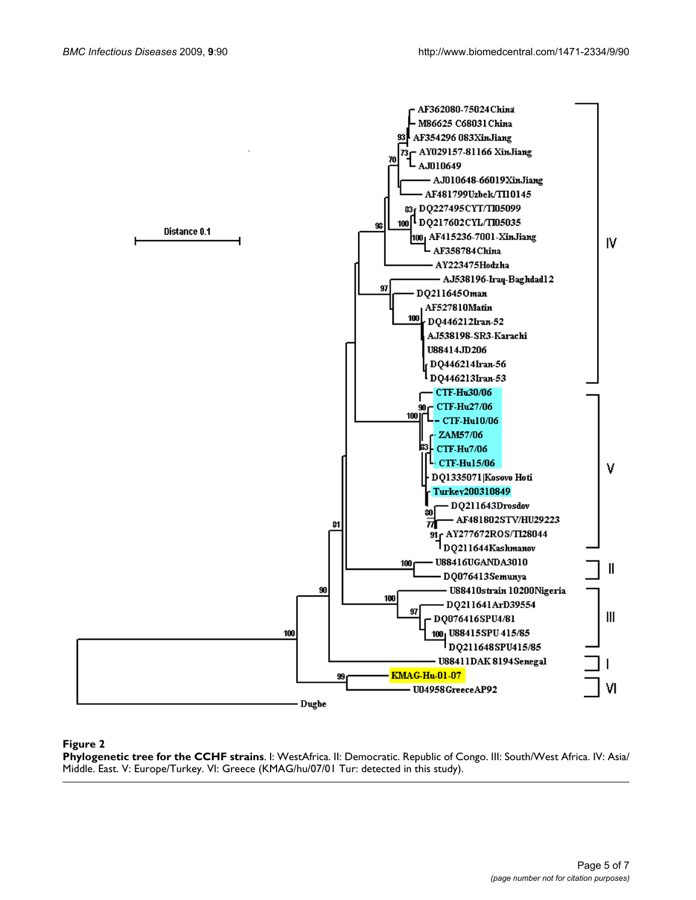

# **Figure 2**

**Phylogenetic tree for the CCHF strains**. I: WestAfrica. II: Democratic. Republic of Congo. III: South/West Africa. IV: Asia/ Middle. East. V: Europe/Turkey. VI: Greece (KMAG/hu/07/01 Tur: detected in this study).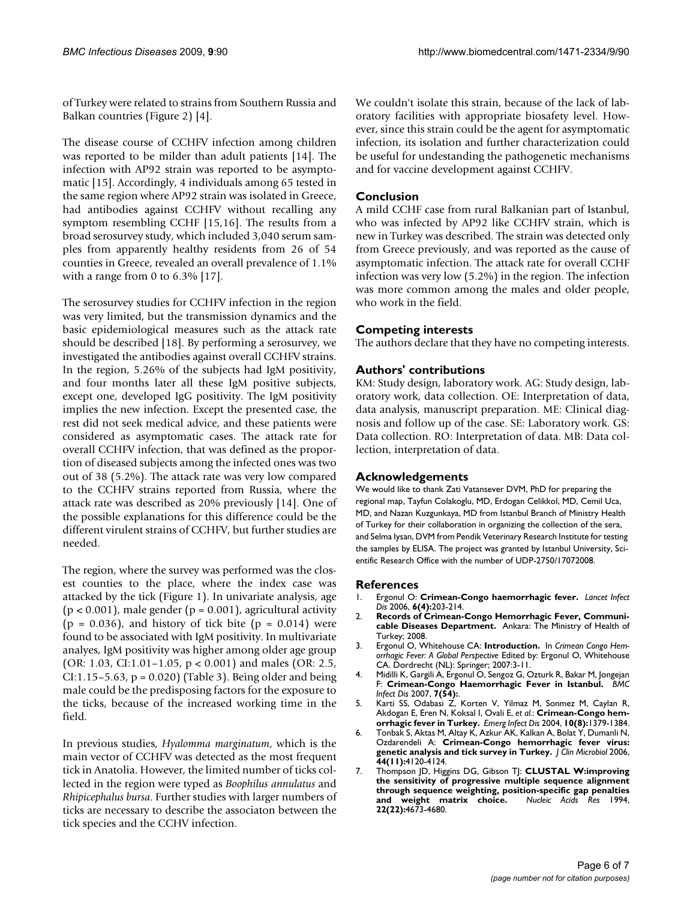of Turkey were related to strains from Southern Russia and Balkan countries (Figure 2) [4].

The disease course of CCHFV infection among children was reported to be milder than adult patients [14]. The infection with AP92 strain was reported to be asymptomatic [15]. Accordingly, 4 individuals among 65 tested in the same region where AP92 strain was isolated in Greece, had antibodies against CCHFV without recalling any symptom resembling CCHF [15,16]. The results from a broad serosurvey study, which included 3,040 serum samples from apparently healthy residents from 26 of 54 counties in Greece, revealed an overall prevalence of 1.1% with a range from 0 to 6.3% [17].

The serosurvey studies for CCHFV infection in the region was very limited, but the transmission dynamics and the basic epidemiological measures such as the attack rate should be described [18]. By performing a serosurvey, we investigated the antibodies against overall CCHFV strains. In the region, 5.26% of the subjects had IgM positivity, and four months later all these IgM positive subjects, except one, developed IgG positivity. The IgM positivity implies the new infection. Except the presented case, the rest did not seek medical advice, and these patients were considered as asymptomatic cases. The attack rate for overall CCHFV infection, that was defined as the proportion of diseased subjects among the infected ones was two out of 38 (5.2%). The attack rate was very low compared to the CCHFV strains reported from Russia, where the attack rate was described as 20% previously [14]. One of the possible explanations for this difference could be the different virulent strains of CCHFV, but further studies are needed.

The region, where the survey was performed was the closest counties to the place, where the index case was attacked by the tick (Figure 1). In univariate analysis, age  $(p < 0.001)$ , male gender  $(p = 0.001)$ , agricultural activity  $(p = 0.036)$ , and history of tick bite  $(p = 0.014)$  were found to be associated with IgM positivity. In multivariate analyes, IgM positivity was higher among older age group (OR: 1.03, CI:1.01–1.05, p < 0.001) and males (OR: 2.5, CI:1.15–5.63, p = 0.020) (Table 3). Being older and being male could be the predisposing factors for the exposure to the ticks, because of the increased working time in the field.

In previous studies, *Hyalomma marginatum*, which is the main vector of CCHFV was detected as the most frequent tick in Anatolia. However, the limited number of ticks collected in the region were typed as *Boophilus annulatus* and *Rhipicephalus bursa*. Further studies with larger numbers of ticks are necessary to describe the associaton between the tick species and the CCHV infection.

We couldn't isolate this strain, because of the lack of laboratory facilities with appropriate biosafety level. However, since this strain could be the agent for asymptomatic infection, its isolation and further characterization could be useful for undestanding the pathogenetic mechanisms and for vaccine development against CCHFV.

# **Conclusion**

A mild CCHF case from rural Balkanian part of Istanbul, who was infected by AP92 like CCHFV strain, which is new in Turkey was described. The strain was detected only from Greece previously, and was reported as the cause of asymptomatic infection. The attack rate for overall CCHF infection was very low (5.2%) in the region. The infection was more common among the males and older people, who work in the field.

# **Competing interests**

The authors declare that they have no competing interests.

# **Authors' contributions**

KM: Study design, laboratory work. AG: Study design, laboratory work, data collection. OE: Interpretation of data, data analysis, manuscript preparation. ME: Clinical diagnosis and follow up of the case. SE: Laboratory work. GS: Data collection. RO: Interpretation of data. MB: Data collection, interpretation of data.

# **Acknowledgements**

We would like to thank Zati Vatansever DVM, PhD for preparing the regional map, Tayfun Colakoglu, MD, Erdogan Celikkol, MD, Cemil Uca, MD, and Nazan Kuzgunkaya, MD from Istanbul Branch of Ministry Health of Turkey for their collaboration in organizing the collection of the sera, and Selma Iysan, DVM from Pendik Veterinary Research Institute for testing the samples by ELISA. The project was granted by Istanbul University, Scientific Research Office with the number of UDP-2750/17072008.

### **References**

- 1. Ergonul O: **[Crimean-Congo haemorrhagic fever.](http://www.ncbi.nlm.nih.gov/entrez/query.fcgi?cmd=Retrieve&db=PubMed&dopt=Abstract&list_uids=16554245)** *Lancet Infect Dis* 2006, **6(4):**203-214.
- 2. **Records of Crimean-Congo Hemorrhagic Fever, Communicable Diseases Department.** Ankara: The Ministry of Health of Turkey; 2008.
- 3. Ergonul O, Whitehouse CA: **Introduction.** In *Crimean Congo Hemorrhagic Fever: A Global Perspective* Edited by: Ergonul O, Whitehouse CA. Dordrecht (NL): Springer; 2007:3-11.
- 4. Midilli K, Gargili A, Ergonul O, Sengoz G, Ozturk R, Bakar M, Jongejan F: **[Crimean-Congo Haemorrhagic Fever in Istanbul.](http://www.ncbi.nlm.nih.gov/entrez/query.fcgi?cmd=Retrieve&db=PubMed&dopt=Abstract&list_uids=17553137)** *BMC Infect Dis* 2007, **7(54):**.
- 5. Karti SS, Odabasi Z, Korten V, Yilmaz M, Sonmez M, Caylan R, Akdogan E, Eren N, Koksal I, Ovali E, *et al.*: **[Crimean-Congo hem](http://www.ncbi.nlm.nih.gov/entrez/query.fcgi?cmd=Retrieve&db=PubMed&dopt=Abstract&list_uids=15496237)[orrhagic fever in Turkey.](http://www.ncbi.nlm.nih.gov/entrez/query.fcgi?cmd=Retrieve&db=PubMed&dopt=Abstract&list_uids=15496237)** *Emerg Infect Dis* 2004, **10(8):**1379-1384.
- 6. Tonbak S, Aktas M, Altay K, Azkur AK, Kalkan A, Bolat Y, Dumanli N, Ozdarendeli A: **[Crimean-Congo hemorrhagic fever virus:](http://www.ncbi.nlm.nih.gov/entrez/query.fcgi?cmd=Retrieve&db=PubMed&dopt=Abstract&list_uids=17088370) [genetic analysis and tick survey in Turkey.](http://www.ncbi.nlm.nih.gov/entrez/query.fcgi?cmd=Retrieve&db=PubMed&dopt=Abstract&list_uids=17088370)** *J Clin Microbiol* 2006, **44(11):**4120-4124.
- 7. Thompson JD, Higgins DG, Gibson TJ: **[CLUSTAL W:improving](http://www.ncbi.nlm.nih.gov/entrez/query.fcgi?cmd=Retrieve&db=PubMed&dopt=Abstract&list_uids=7984417) [the sensitivity of progressive multiple sequence alignment](http://www.ncbi.nlm.nih.gov/entrez/query.fcgi?cmd=Retrieve&db=PubMed&dopt=Abstract&list_uids=7984417) through sequence weighting, position-specific gap penalties** [and weight matrix choice.](http://www.ncbi.nlm.nih.gov/entrez/query.fcgi?cmd=Retrieve&db=PubMed&dopt=Abstract&list_uids=7984417) **22(22):**4673-4680.